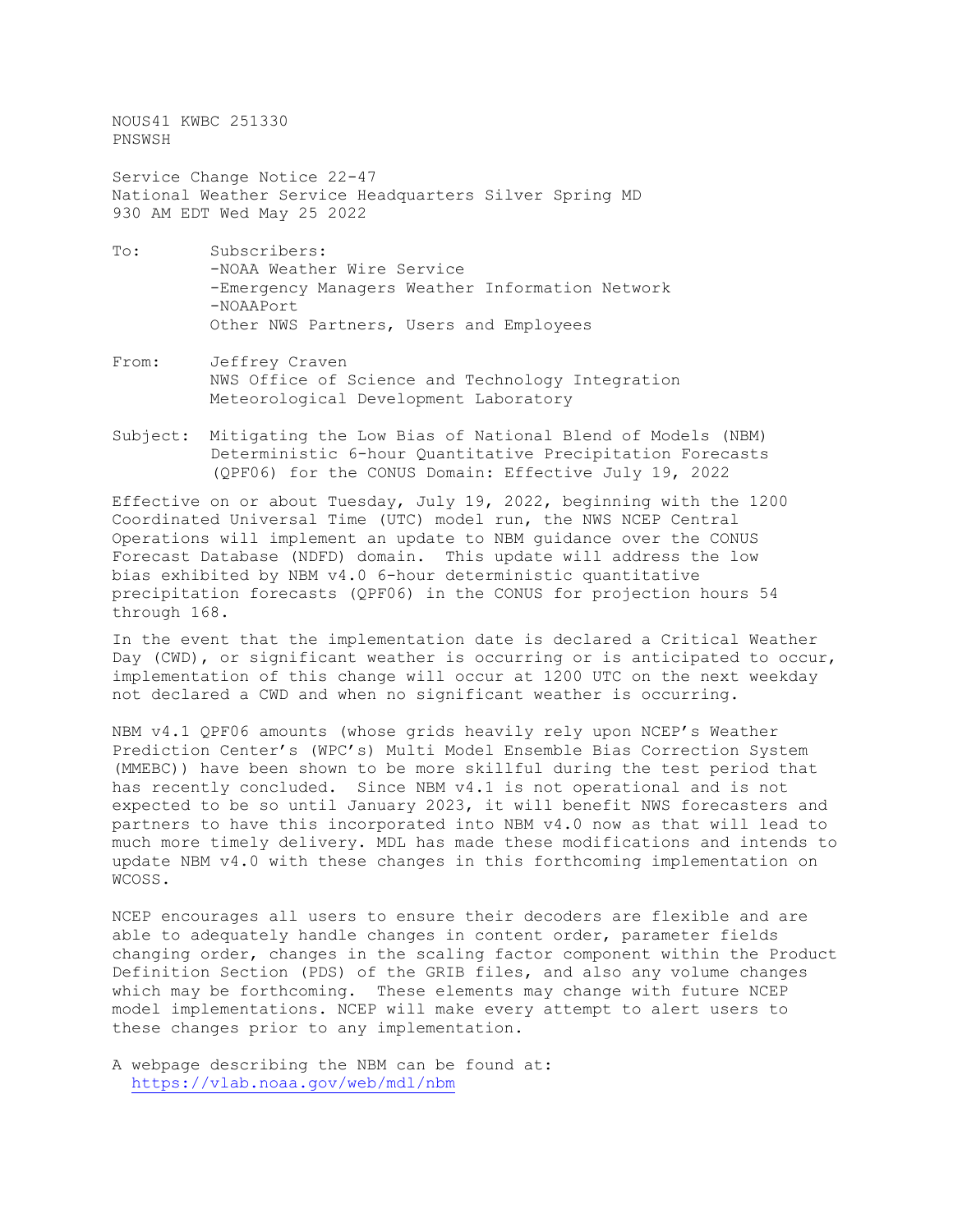NOUS41 KWBC 251330 PNSWSH

Service Change Notice 22-47 National Weather Service Headquarters Silver Spring MD 930 AM EDT Wed May 25 2022

- To: Subscribers: -NOAA Weather Wire Service -Emergency Managers Weather Information Network -NOAAPort Other NWS Partners, Users and Employees
- From: Jeffrey Craven NWS Office of Science and Technology Integration Meteorological Development Laboratory
- Subject: Mitigating the Low Bias of National Blend of Models (NBM) Deterministic 6-hour Quantitative Precipitation Forecasts (QPF06) for the CONUS Domain: Effective July 19, 2022

Effective on or about Tuesday, July 19, 2022, beginning with the 1200 Coordinated Universal Time (UTC) model run, the NWS NCEP Central Operations will implement an update to NBM guidance over the CONUS Forecast Database (NDFD) domain. This update will address the low bias exhibited by NBM v4.0 6-hour deterministic quantitative precipitation forecasts (QPF06) in the CONUS for projection hours 54 through 168.

In the event that the implementation date is declared a Critical Weather Day (CWD), or significant weather is occurring or is anticipated to occur, implementation of this change will occur at 1200 UTC on the next weekday not declared a CWD and when no significant weather is occurring.

NBM v4.1 QPF06 amounts (whose grids heavily rely upon NCEP's Weather Prediction Center's (WPC's) Multi Model Ensemble Bias Correction System (MMEBC)) have been shown to be more skillful during the test period that has recently concluded. Since NBM v4.1 is not operational and is not expected to be so until January 2023, it will benefit NWS forecasters and partners to have this incorporated into NBM v4.0 now as that will lead to much more timely delivery. MDL has made these modifications and intends to update NBM v4.0 with these changes in this forthcoming implementation on WCOSS.

NCEP encourages all users to ensure their decoders are flexible and are able to adequately handle changes in content order, parameter fields changing order, changes in the scaling factor component within the Product Definition Section (PDS) of the GRIB files, and also any volume changes which may be forthcoming. These elements may change with future NCEP model implementations. NCEP will make every attempt to alert users to these changes prior to any implementation.

A webpage describing the NBM can be found at: <https://vlab.noaa.gov/web/mdl/nbm>